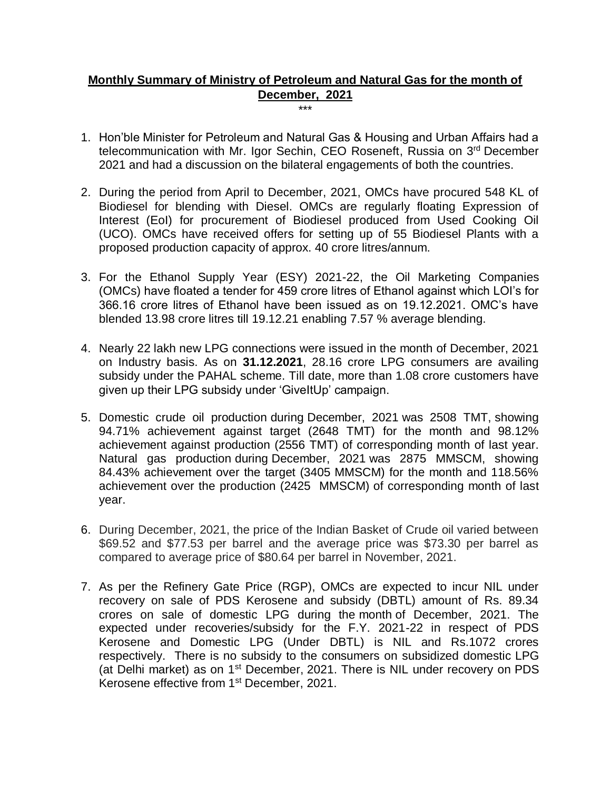## **Monthly Summary of Ministry of Petroleum and Natural Gas for the month of December, 2021** \*\*\*

- 1. Hon'ble Minister for Petroleum and Natural Gas & Housing and Urban Affairs had a telecommunication with Mr. Igor Sechin, CEO Roseneft, Russia on 3<sup>rd</sup> December 2021 and had a discussion on the bilateral engagements of both the countries.
- 2. During the period from April to December, 2021, OMCs have procured 548 KL of Biodiesel for blending with Diesel. OMCs are regularly floating Expression of Interest (EoI) for procurement of Biodiesel produced from Used Cooking Oil (UCO). OMCs have received offers for setting up of 55 Biodiesel Plants with a proposed production capacity of approx. 40 crore litres/annum.
- 3. For the Ethanol Supply Year (ESY) 2021-22, the Oil Marketing Companies (OMCs) have floated a tender for 459 crore litres of Ethanol against which LOI's for 366.16 crore litres of Ethanol have been issued as on 19.12.2021. OMC's have blended 13.98 crore litres till 19.12.21 enabling 7.57 % average blending.
- 4. Nearly 22 lakh new LPG connections were issued in the month of December, 2021 on Industry basis. As on **31.12.2021**, 28.16 crore LPG consumers are availing subsidy under the PAHAL scheme. Till date, more than 1.08 crore customers have given up their LPG subsidy under 'GiveItUp' campaign.
- 5. Domestic crude oil production during December, 2021 was 2508 TMT, showing 94.71% achievement against target (2648 TMT) for the month and 98.12% achievement against production (2556 TMT) of corresponding month of last year. Natural gas production during December, 2021 was 2875 MMSCM, showing 84.43% achievement over the target (3405 MMSCM) for the month and 118.56% achievement over the production (2425 MMSCM) of corresponding month of last year.
- 6. During December, 2021, the price of the Indian Basket of Crude oil varied between \$69.52 and \$77.53 per barrel and the average price was \$73.30 per barrel as compared to average price of \$80.64 per barrel in November, 2021.
- 7. As per the Refinery Gate Price (RGP), OMCs are expected to incur NIL under recovery on sale of PDS Kerosene and subsidy (DBTL) amount of Rs. 89.34 crores on sale of domestic LPG during the month of December, 2021. The expected under recoveries/subsidy for the F.Y. 2021-22 in respect of PDS Kerosene and Domestic LPG (Under DBTL) is NIL and Rs.1072 crores respectively. There is no subsidy to the consumers on subsidized domestic LPG (at Delhi market) as on 1<sup>st</sup> December, 2021. There is NIL under recovery on PDS Kerosene effective from 1st December, 2021.